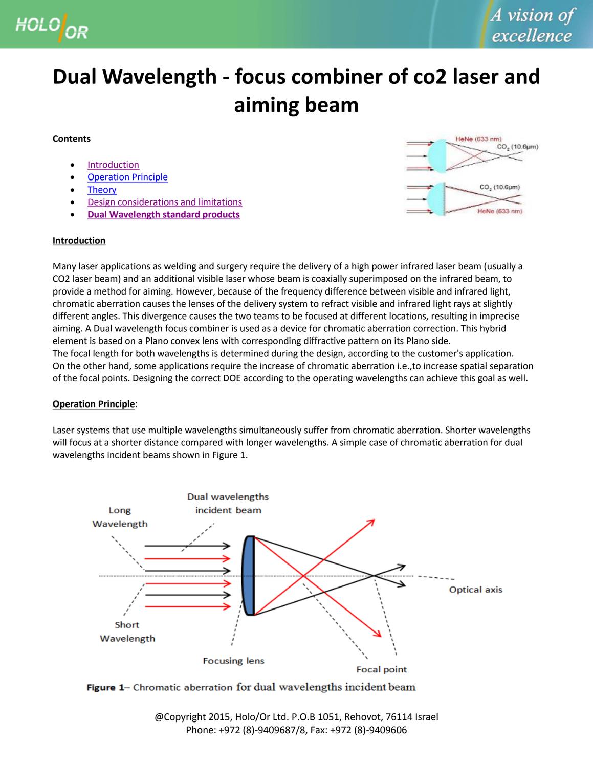

# **Dual Wavelength - focus combiner of co2 laser and aiming beam**

## **Contents**

- **[Introduction](#page-0-0)**
- [Operation Principle](#page-0-1)
- **[Theory](#page-2-0)**
- [Design considerations and limitations](#page-2-1)
- **[Dual Wavelength standard products](http://www.holoor.com/Diffractive_Optics_Products/Diffractive_Chromatic_correction_lens/DW-lens.htm)**

#### <span id="page-0-0"></span>**Introduction**



Many laser applications as welding and surgery require the delivery of a high power infrared laser beam (usually a CO2 laser beam) and an additional visible laser whose beam is coaxially superimposed on the infrared beam, to provide a method for aiming. However, because of the frequency difference between visible and infrared light, chromatic aberration causes the lenses of the delivery system to refract visible and infrared light rays at slightly different angles. This divergence causes the two teams to be focused at different locations, resulting in imprecise aiming. A Dual wavelength focus combiner is used as a device for chromatic aberration correction. This hybrid element is based on a Plano convex lens with corresponding diffractive pattern on its Plano side. The focal length for both wavelengths is determined during the design, according to the customer's application. On the other hand, some applications require the increase of chromatic aberration i.e.,to increase spatial separation of the focal points. Designing the correct DOE according to the operating wavelengths can achieve this goal as well.

### <span id="page-0-1"></span>**Operation Principle**:

Laser systems that use multiple wavelengths simultaneously suffer from chromatic aberration. Shorter wavelengths will focus at a shorter distance compared with longer wavelengths. A simple case of chromatic aberration for dual wavelengths incident beams shown in Figure 1.



Figure 1- Chromatic aberration for dual wavelengths incident beam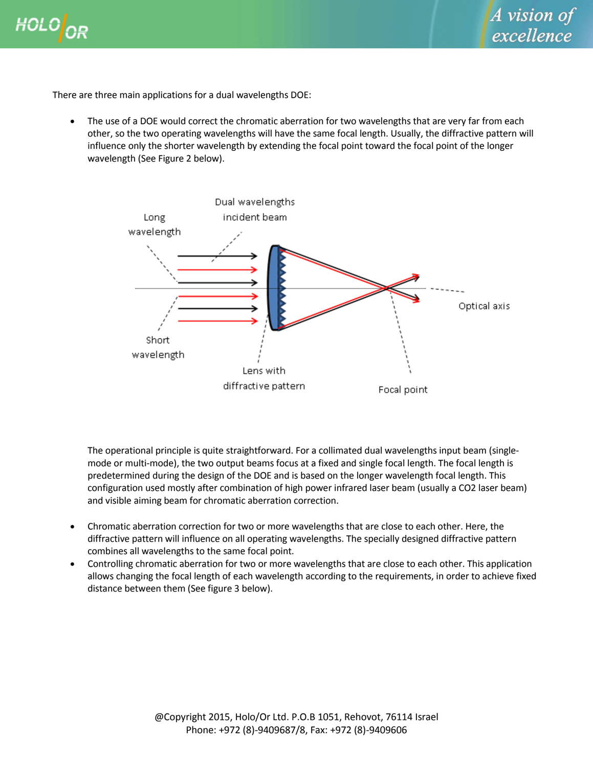



There are three main applications for a dual wavelengths DOE:

 The use of a DOE would correct the chromatic aberration for two wavelengths that are very far from each other, so the two operating wavelengths will have the same focal length. Usually, the diffractive pattern will influence only the shorter wavelength by extending the focal point toward the focal point of the longer wavelength (See Figure 2 below).



The operational principle is quite straightforward. For a collimated dual wavelengths input beam (singlemode or multi-mode), the two output beams focus at a fixed and single focal length. The focal length is predetermined during the design of the DOE and is based on the longer wavelength focal length. This configuration used mostly after combination of high power infrared laser beam (usually a CO2 laser beam) and visible aiming beam for chromatic aberration correction.

- Chromatic aberration correction for two or more wavelengths that are close to each other. Here, the diffractive pattern will influence on all operating wavelengths. The specially designed diffractive pattern combines all wavelengths to the same focal point.
- Controlling chromatic aberration for two or more wavelengths that are close to each other. This application allows changing the focal length of each wavelength according to the requirements, in order to achieve fixed distance between them (See figure 3 below).